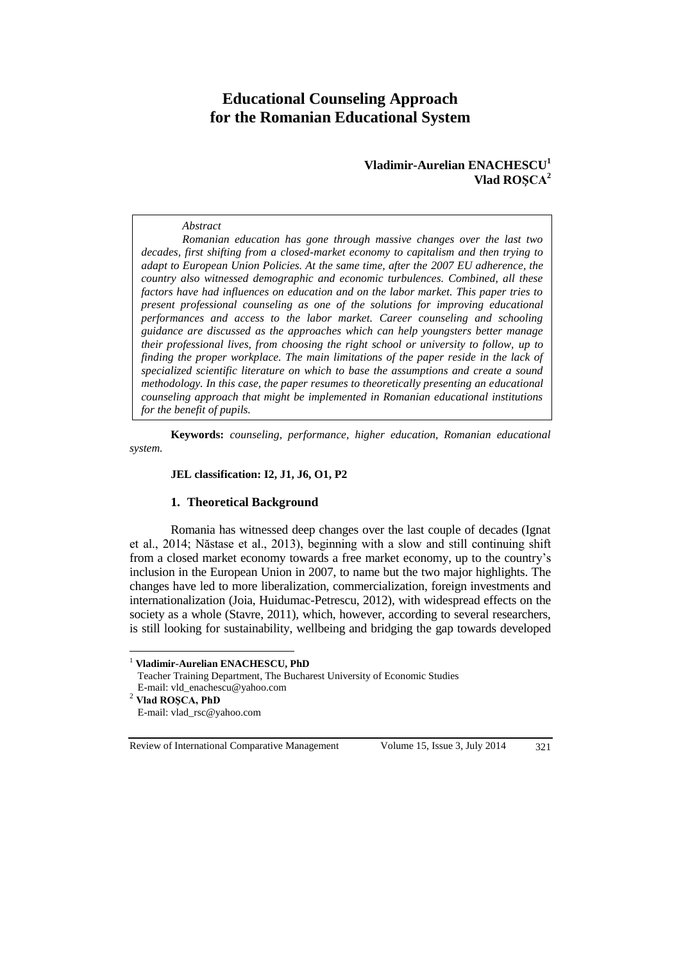# **Educational Counseling Approach for the Romanian Educational System**

## **Vladimir-Aurelian ENACHESCU<sup>1</sup> Vlad ROŞCA<sup>2</sup>**

#### *Abstract*

*Romanian education has gone through massive changes over the last two decades, first shifting from a closed-market economy to capitalism and then trying to adapt to European Union Policies. At the same time, after the 2007 EU adherence, the country also witnessed demographic and economic turbulences. Combined, all these factors have had influences on education and on the labor market. This paper tries to present professional counseling as one of the solutions for improving educational performances and access to the labor market. Career counseling and schooling guidance are discussed as the approaches which can help youngsters better manage their professional lives, from choosing the right school or university to follow, up to finding the proper workplace. The main limitations of the paper reside in the lack of specialized scientific literature on which to base the assumptions and create a sound methodology. In this case, the paper resumes to theoretically presenting an educational counseling approach that might be implemented in Romanian educational institutions for the benefit of pupils.*

**Keywords:** *counseling, performance, higher education, Romanian educational system.*

#### **JEL classification: I2, J1, J6, O1, P2**

#### **1. Theoretical Background**

Romania has witnessed deep changes over the last couple of decades (Ignat et al., 2014; Năstase et al., 2013), beginning with a slow and still continuing shift from a closed market economy towards a free market economy, up to the country's inclusion in the European Union in 2007, to name but the two major highlights. The changes have led to more liberalization, commercialization, foreign investments and internationalization (Joia, Huidumac-Petrescu, 2012), with widespread effects on the society as a whole (Stavre, 2011), which, however, according to several researchers, is still looking for sustainability, wellbeing and bridging the gap towards developed

<sup>1</sup> **Vladimir-Aurelian ENACHESCU, PhD**

Teacher Training Department, The Bucharest University of Economic Studies E-mail: vld\_enachescu@yahoo.com

<sup>2</sup> **Vlad ROŞCA, PhD**

 $\overline{a}$ 

E-mail: vlad\_rsc@yahoo.com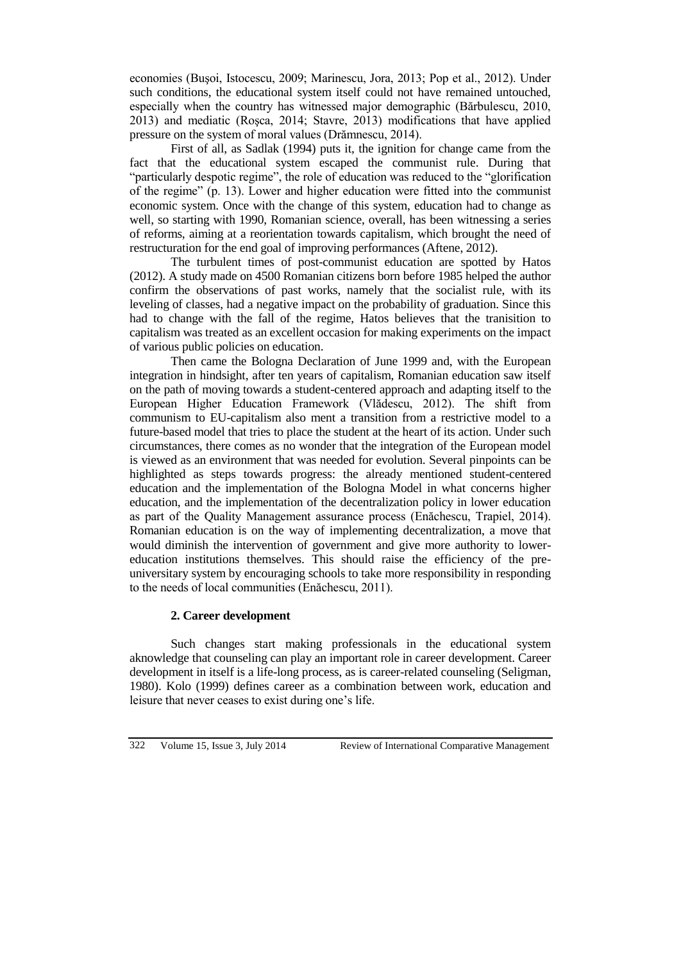economies (Buşoi, Istocescu, 2009; Marinescu, Jora, 2013; Pop et al., 2012). Under such conditions, the educational system itself could not have remained untouched, especially when the country has witnessed major demographic (Bărbulescu, 2010, 2013) and mediatic (Roşca, 2014; Stavre, 2013) modifications that have applied pressure on the system of moral values (Drămnescu, 2014).

First of all, as Sadlak (1994) puts it, the ignition for change came from the fact that the educational system escaped the communist rule. During that "particularly despotic regime", the role of education was reduced to the "glorification of the regime" (p. 13). Lower and higher education were fitted into the communist economic system. Once with the change of this system, education had to change as well, so starting with 1990, Romanian science, overall, has been witnessing a series of reforms, aiming at a reorientation towards capitalism, which brought the need of restructuration for the end goal of improving performances (Aftene, 2012).

The turbulent times of post-communist education are spotted by Hatos (2012). A study made on 4500 Romanian citizens born before 1985 helped the author confirm the observations of past works, namely that the socialist rule, with its leveling of classes, had a negative impact on the probability of graduation. Since this had to change with the fall of the regime, Hatos believes that the tranisition to capitalism was treated as an excellent occasion for making experiments on the impact of various public policies on education.

Then came the Bologna Declaration of June 1999 and, with the European integration in hindsight, after ten years of capitalism, Romanian education saw itself on the path of moving towards a student-centered approach and adapting itself to the European Higher Education Framework (Vlădescu, 2012). The shift from communism to EU-capitalism also ment a transition from a restrictive model to a future-based model that tries to place the student at the heart of its action. Under such circumstances, there comes as no wonder that the integration of the European model is viewed as an environment that was needed for evolution. Several pinpoints can be highlighted as steps towards progress: the already mentioned student-centered education and the implementation of the Bologna Model in what concerns higher education, and the implementation of the decentralization policy in lower education as part of the Quality Management assurance process (Enăchescu, Trapiel, 2014). Romanian education is on the way of implementing decentralization, a move that would diminish the intervention of government and give more authority to lowereducation institutions themselves. This should raise the efficiency of the preuniversitary system by encouraging schools to take more responsibility in responding to the needs of local communities (Enăchescu, 2011).

### **2. Career development**

Such changes start making professionals in the educational system aknowledge that counseling can play an important role in career development. Career development in itself is a life-long process, as is career-related counseling (Seligman, 1980). Kolo (1999) defines career as a combination between work, education and leisure that never ceases to exist during one's life.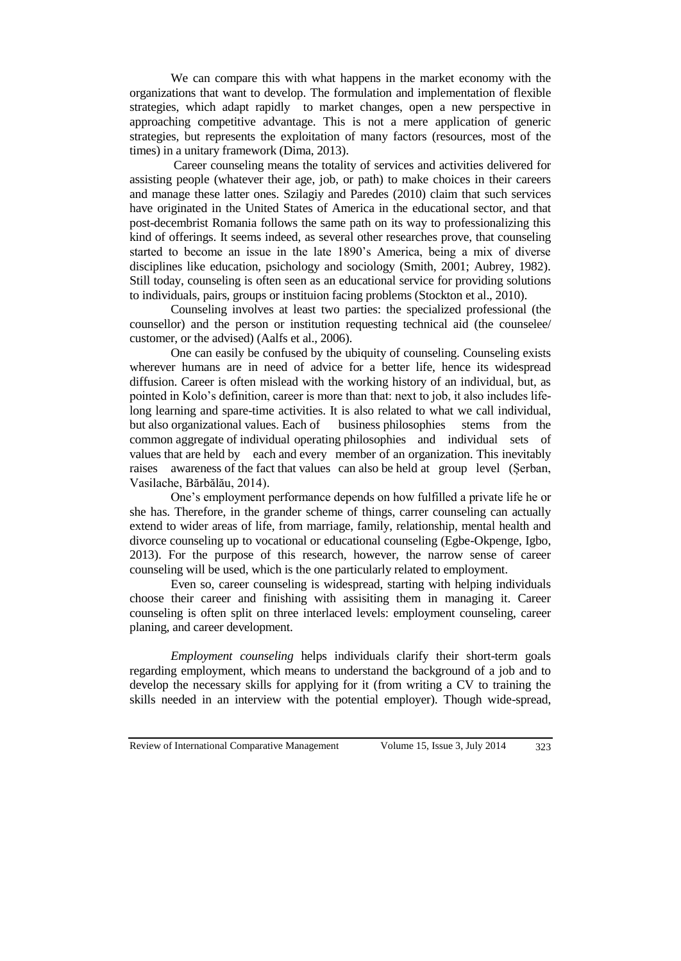We can compare this with what happens in the market economy with the organizations that want to develop. The formulation and implementation of flexible strategies, which adapt rapidly to market changes, open a new perspective in approaching competitive advantage. This is not a mere application of generic strategies, but represents the exploitation of many factors (resources, most of the times) in a unitary framework (Dima, 2013).

Career counseling means the totality of services and activities delivered for assisting people (whatever their age, job, or path) to make choices in their careers and manage these latter ones. Szilagiy and Paredes (2010) claim that such services have originated in the United States of America in the educational sector, and that post-decembrist Romania follows the same path on its way to professionalizing this kind of offerings. It seems indeed, as several other researches prove, that counseling started to become an issue in the late 1890's America, being a mix of diverse disciplines like education, psichology and sociology (Smith, 2001; Aubrey, 1982). Still today, counseling is often seen as an educational service for providing solutions to individuals, pairs, groups or instituion facing problems (Stockton et al., 2010).

Counseling involves at least two parties: the specialized professional (the counsellor) and the person or institution requesting technical aid (the counselee/ customer, or the advised) (Aalfs et al., 2006).

One can easily be confused by the ubiquity of counseling. Counseling exists wherever humans are in need of advice for a better life, hence its widespread diffusion. Career is often mislead with the working history of an individual, but, as pointed in Kolo's definition, career is more than that: next to job, it also includes lifelong learning and spare-time activities. It is also related to what we call individual, but also organizational values. Each of business philosophies stems from the common aggregate of individual operating philosophies and individual sets of values that are held by each and every member of an organization. This inevitably raises awareness of the fact that values can also be held at group level (Șerban, Vasilache, Bărbălău, 2014).

One's employment performance depends on how fulfilled a private life he or she has. Therefore, in the grander scheme of things, carrer counseling can actually extend to wider areas of life, from marriage, family, relationship, mental health and divorce counseling up to vocational or educational counseling (Egbe-Okpenge, Igbo, 2013). For the purpose of this research, however, the narrow sense of career counseling will be used, which is the one particularly related to employment.

Even so, career counseling is widespread, starting with helping individuals choose their career and finishing with assisiting them in managing it. Career counseling is often split on three interlaced levels: employment counseling, career planing, and career development.

*Employment counseling* helps individuals clarify their short-term goals regarding employment, which means to understand the background of a job and to develop the necessary skills for applying for it (from writing a CV to training the skills needed in an interview with the potential employer). Though wide-spread,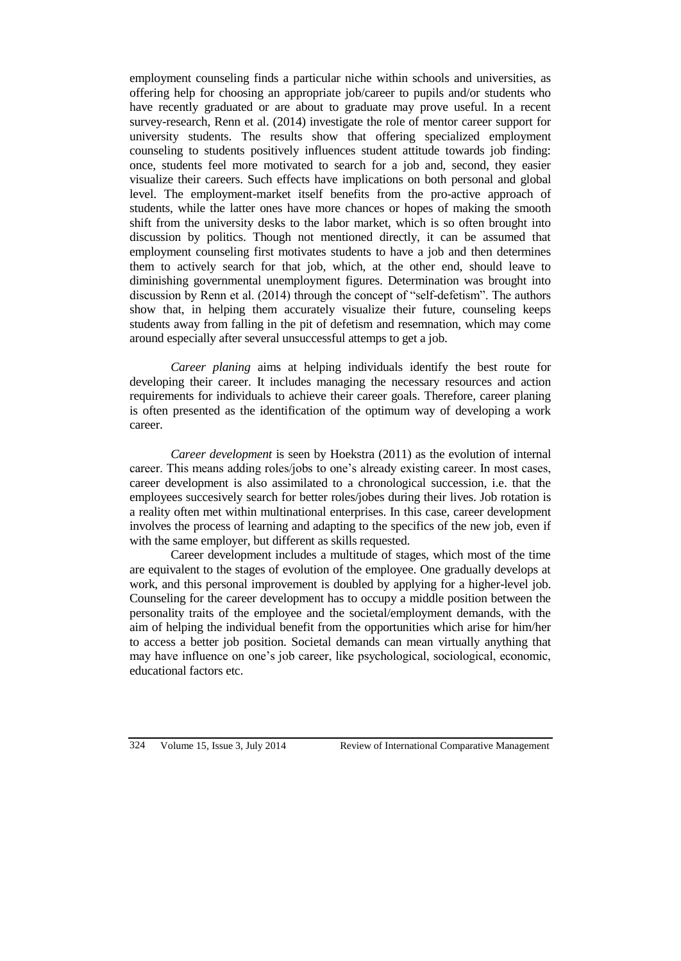employment counseling finds a particular niche within schools and universities, as offering help for choosing an appropriate job/career to pupils and/or students who have recently graduated or are about to graduate may prove useful. In a recent survey-research, Renn et al. (2014) investigate the role of mentor career support for university students. The results show that offering specialized employment counseling to students positively influences student attitude towards job finding: once, students feel more motivated to search for a job and, second, they easier visualize their careers. Such effects have implications on both personal and global level. The employment-market itself benefits from the pro-active approach of students, while the latter ones have more chances or hopes of making the smooth shift from the university desks to the labor market, which is so often brought into discussion by politics. Though not mentioned directly, it can be assumed that employment counseling first motivates students to have a job and then determines them to actively search for that job, which, at the other end, should leave to diminishing governmental unemployment figures. Determination was brought into discussion by Renn et al. (2014) through the concept of "self-defetism". The authors show that, in helping them accurately visualize their future, counseling keeps students away from falling in the pit of defetism and resemnation, which may come around especially after several unsuccessful attemps to get a job.

*Career planing* aims at helping individuals identify the best route for developing their career. It includes managing the necessary resources and action requirements for individuals to achieve their career goals. Therefore, career planing is often presented as the identification of the optimum way of developing a work career.

*Career development* is seen by Hoekstra (2011) as the evolution of internal career. This means adding roles/jobs to one's already existing career. In most cases, career development is also assimilated to a chronological succession, i.e. that the employees succesively search for better roles/jobes during their lives. Job rotation is a reality often met within multinational enterprises. In this case, career development involves the process of learning and adapting to the specifics of the new job, even if with the same employer, but different as skills requested.

Career development includes a multitude of stages, which most of the time are equivalent to the stages of evolution of the employee. One gradually develops at work, and this personal improvement is doubled by applying for a higher-level job. Counseling for the career development has to occupy a middle position between the personality traits of the employee and the societal/employment demands, with the aim of helping the individual benefit from the opportunities which arise for him/her to access a better job position. Societal demands can mean virtually anything that may have influence on one's job career, like psychological, sociological, economic, educational factors etc.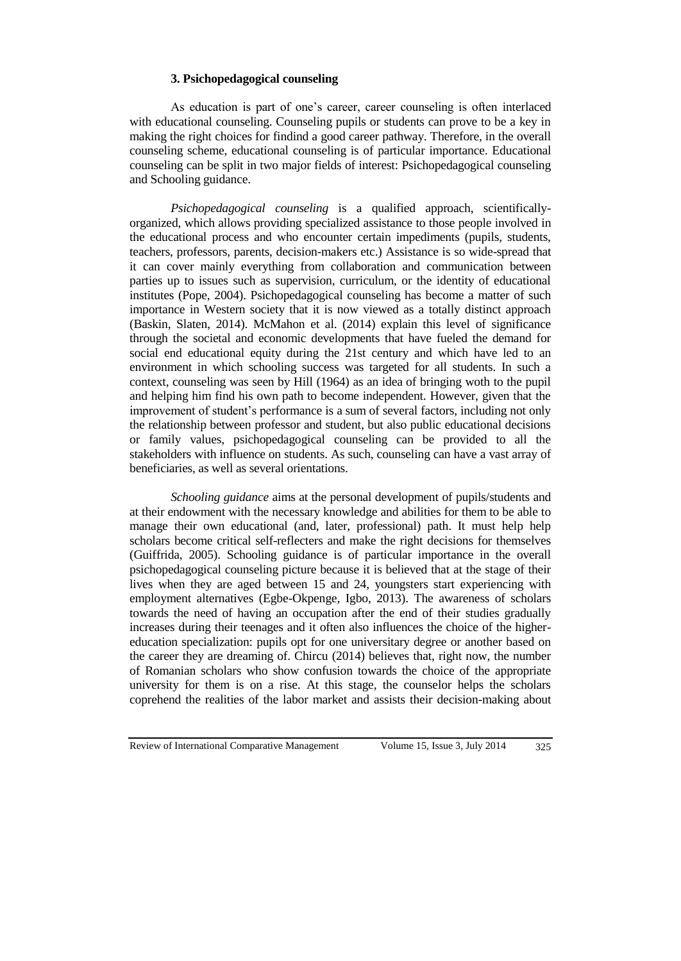### **3. Psichopedagogical counseling**

As education is part of one's career, career counseling is often interlaced with educational counseling. Counseling pupils or students can prove to be a key in making the right choices for findind a good career pathway. Therefore, in the overall counseling scheme, educational counseling is of particular importance. Educational counseling can be split in two major fields of interest: Psichopedagogical counseling and Schooling guidance.

*Psichopedagogical counseling* is a qualified approach, scientificallyorganized, which allows providing specialized assistance to those people involved in the educational process and who encounter certain impediments (pupils, students, teachers, professors, parents, decision-makers etc.) Assistance is so wide-spread that it can cover mainly everything from collaboration and communication between parties up to issues such as supervision, curriculum, or the identity of educational institutes (Pope, 2004). Psichopedagogical counseling has become a matter of such importance in Western society that it is now viewed as a totally distinct approach (Baskin, Slaten, 2014). McMahon et al. (2014) explain this level of significance through the societal and economic developments that have fueled the demand for social end educational equity during the 21st century and which have led to an environment in which schooling success was targeted for all students. In such a context, counseling was seen by Hill (1964) as an idea of bringing woth to the pupil and helping him find his own path to become independent. However, given that the improvement of student's performance is a sum of several factors, including not only the relationship between professor and student, but also public educational decisions or family values, psichopedagogical counseling can be provided to all the stakeholders with influence on students. As such, counseling can have a vast array of beneficiaries, as well as several orientations.

*Schooling guidance* aims at the personal development of pupils/students and at their endowment with the necessary knowledge and abilities for them to be able to manage their own educational (and, later, professional) path. It must help help scholars become critical self-reflecters and make the right decisions for themselves (Guiffrida, 2005). Schooling guidance is of particular importance in the overall psichopedagogical counseling picture because it is believed that at the stage of their lives when they are aged between 15 and 24, youngsters start experiencing with employment alternatives (Egbe-Okpenge, Igbo, 2013). The awareness of scholars towards the need of having an occupation after the end of their studies gradually increases during their teenages and it often also influences the choice of the highereducation specialization: pupils opt for one universitary degree or another based on the career they are dreaming of. Chircu (2014) believes that, right now, the number of Romanian scholars who show confusion towards the choice of the appropriate university for them is on a rise. At this stage, the counselor helps the scholars coprehend the realities of the labor market and assists their decision-making about

Review of International Comparative Management Volume 15, Issue 3, July 2014 325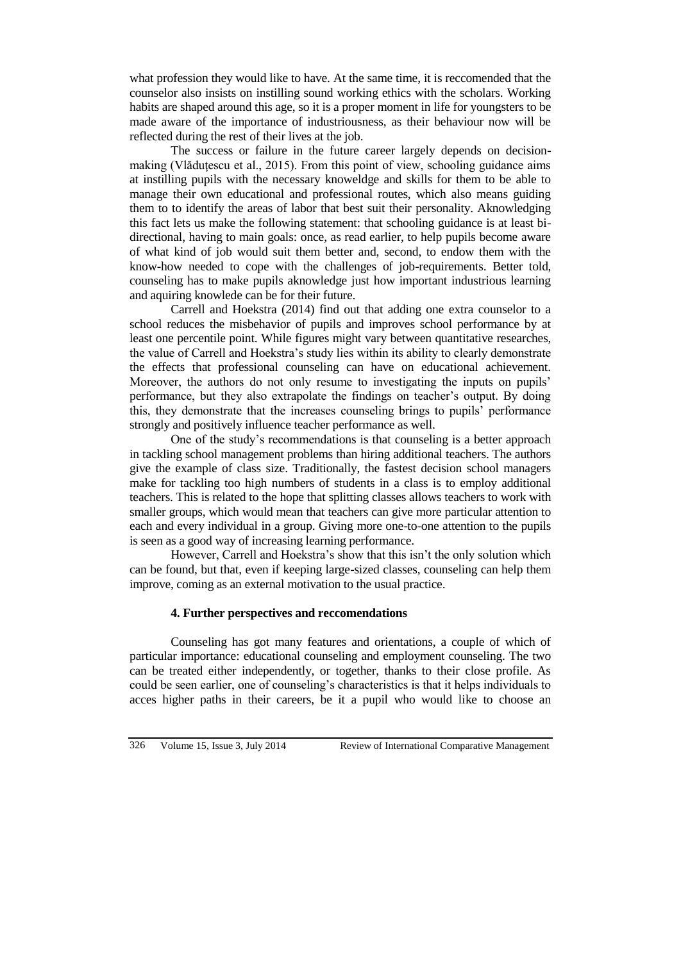what profession they would like to have. At the same time, it is reccomended that the counselor also insists on instilling sound working ethics with the scholars. Working habits are shaped around this age, so it is a proper moment in life for youngsters to be made aware of the importance of industriousness, as their behaviour now will be reflected during the rest of their lives at the job.

The success or failure in the future career largely depends on decisionmaking (Vlăduţescu et al., 2015). From this point of view, schooling guidance aims at instilling pupils with the necessary knoweldge and skills for them to be able to manage their own educational and professional routes, which also means guiding them to to identify the areas of labor that best suit their personality. Aknowledging this fact lets us make the following statement: that schooling guidance is at least bidirectional, having to main goals: once, as read earlier, to help pupils become aware of what kind of job would suit them better and, second, to endow them with the know-how needed to cope with the challenges of job-requirements. Better told, counseling has to make pupils aknowledge just how important industrious learning and aquiring knowlede can be for their future.

Carrell and Hoekstra (2014) find out that adding one extra counselor to a school reduces the misbehavior of pupils and improves school performance by at least one percentile point. While figures might vary between quantitative researches, the value of Carrell and Hoekstra's study lies within its ability to clearly demonstrate the effects that professional counseling can have on educational achievement. Moreover, the authors do not only resume to investigating the inputs on pupils' performance, but they also extrapolate the findings on teacher's output. By doing this, they demonstrate that the increases counseling brings to pupils' performance strongly and positively influence teacher performance as well.

One of the study's recommendations is that counseling is a better approach in tackling school management problems than hiring additional teachers. The authors give the example of class size. Traditionally, the fastest decision school managers make for tackling too high numbers of students in a class is to employ additional teachers. This is related to the hope that splitting classes allows teachers to work with smaller groups, which would mean that teachers can give more particular attention to each and every individual in a group. Giving more one-to-one attention to the pupils is seen as a good way of increasing learning performance.

However, Carrell and Hoekstra's show that this isn't the only solution which can be found, but that, even if keeping large-sized classes, counseling can help them improve, coming as an external motivation to the usual practice.

### **4. Further perspectives and reccomendations**

Counseling has got many features and orientations, a couple of which of particular importance: educational counseling and employment counseling. The two can be treated either independently, or together, thanks to their close profile. As could be seen earlier, one of counseling's characteristics is that it helps individuals to acces higher paths in their careers, be it a pupil who would like to choose an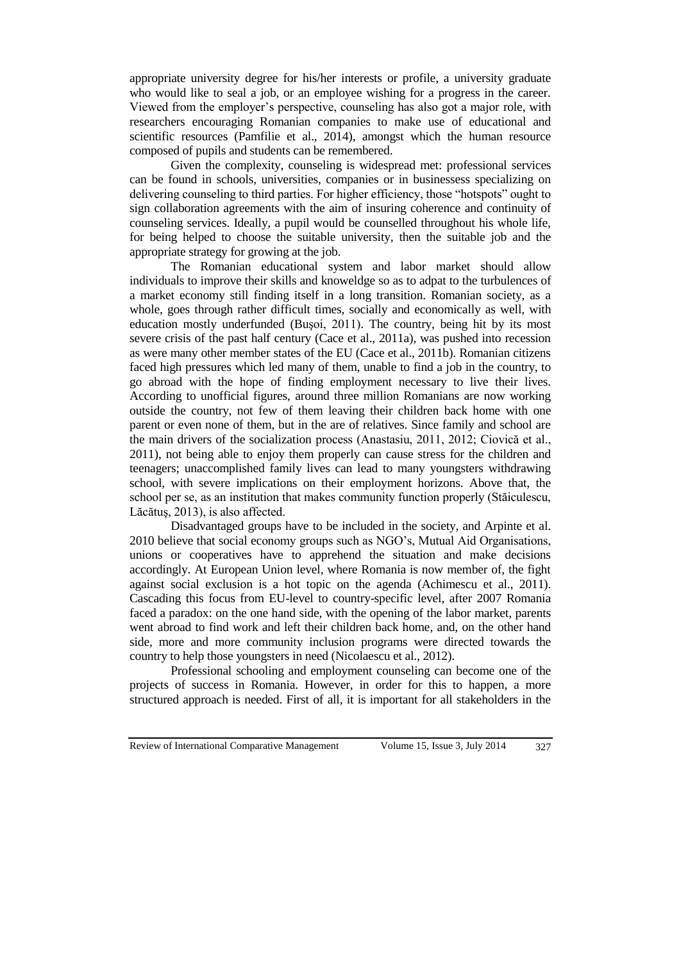appropriate university degree for his/her interests or profile, a university graduate who would like to seal a job, or an employee wishing for a progress in the career. Viewed from the employer's perspective, counseling has also got a major role, with researchers encouraging Romanian companies to make use of educational and scientific resources (Pamfilie et al., 2014), amongst which the human resource composed of pupils and students can be remembered.

Given the complexity, counseling is widespread met: professional services can be found in schools, universities, companies or in businessess specializing on delivering counseling to third parties. For higher efficiency, those "hotspots" ought to sign collaboration agreements with the aim of insuring coherence and continuity of counseling services. Ideally, a pupil would be counselled throughout his whole life, for being helped to choose the suitable university, then the suitable job and the appropriate strategy for growing at the job.

The Romanian educational system and labor market should allow individuals to improve their skills and knoweldge so as to adpat to the turbulences of a market economy still finding itself in a long transition. Romanian society, as a whole, goes through rather difficult times, socially and economically as well, with education mostly underfunded (Buşoi, 2011). The country, being hit by its most severe crisis of the past half century (Cace et al., 2011a), was pushed into recession as were many other member states of the EU (Cace et al., 2011b). Romanian citizens faced high pressures which led many of them, unable to find a job in the country, to go abroad with the hope of finding employment necessary to live their lives. According to unofficial figures, around three million Romanians are now working outside the country, not few of them leaving their children back home with one parent or even none of them, but in the are of relatives. Since family and school are the main drivers of the socialization process (Anastasiu, 2011, 2012; Ciovică et al., 2011), not being able to enjoy them properly can cause stress for the children and teenagers; unaccomplished family lives can lead to many youngsters withdrawing school, with severe implications on their employment horizons. Above that, the school per se, as an institution that makes community function properly (Stăiculescu, Lăcătuş, 2013), is also affected.

Disadvantaged groups have to be included in the society, and Arpinte et al. 2010 believe that social economy groups such as NGO's, Mutual Aid Organisations, unions or cooperatives have to apprehend the situation and make decisions accordingly. At European Union level, where Romania is now member of, the fight against social exclusion is a hot topic on the agenda (Achimescu et al., 2011). Cascading this focus from EU-level to country-specific level, after 2007 Romania faced a paradox: on the one hand side, with the opening of the labor market, parents went abroad to find work and left their children back home, and, on the other hand side, more and more community inclusion programs were directed towards the country to help those youngsters in need (Nicolaescu et al., 2012).

Professional schooling and employment counseling can become one of the projects of success in Romania. However, in order for this to happen, a more structured approach is needed. First of all, it is important for all stakeholders in the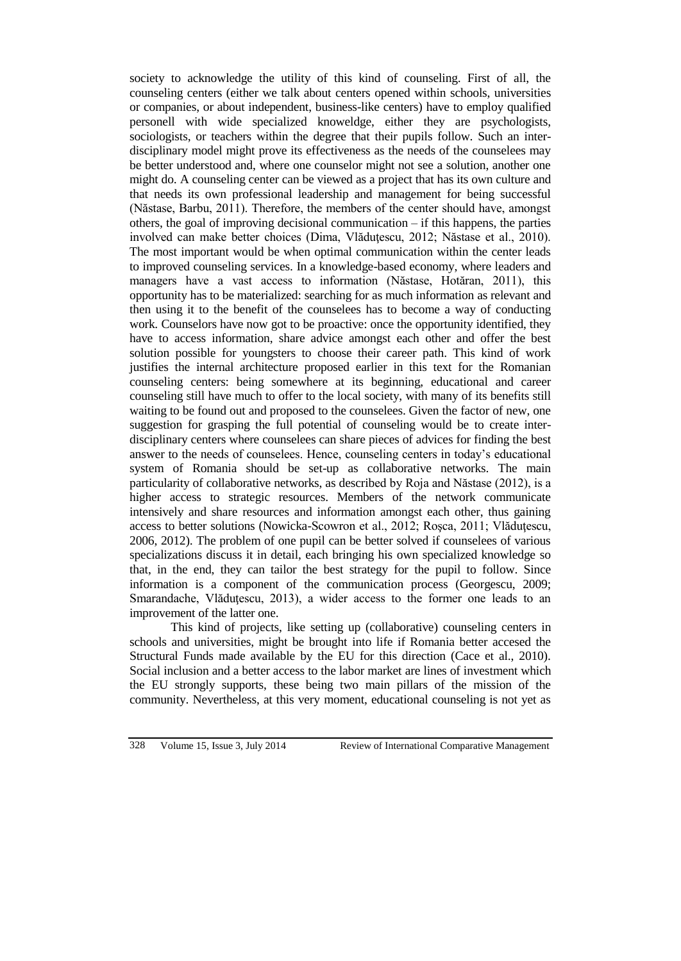society to acknowledge the utility of this kind of counseling. First of all, the counseling centers (either we talk about centers opened within schools, universities or companies, or about independent, business-like centers) have to employ qualified personell with wide specialized knoweldge, either they are psychologists, sociologists, or teachers within the degree that their pupils follow. Such an interdisciplinary model might prove its effectiveness as the needs of the counselees may be better understood and, where one counselor might not see a solution, another one might do. A counseling center can be viewed as a project that has its own culture and that needs its own professional leadership and management for being successful (Năstase, Barbu, 2011). Therefore, the members of the center should have, amongst others, the goal of improving decisional communication – if this happens, the parties involved can make better choices (Dima, Vlăduţescu, 2012; Năstase et al., 2010). The most important would be when optimal communication within the center leads to improved counseling services. In a knowledge-based economy, where leaders and managers have a vast access to information (Năstase, Hotăran, 2011), this opportunity has to be materialized: searching for as much information as relevant and then using it to the benefit of the counselees has to become a way of conducting work. Counselors have now got to be proactive: once the opportunity identified, they have to access information, share advice amongst each other and offer the best solution possible for youngsters to choose their career path. This kind of work justifies the internal architecture proposed earlier in this text for the Romanian counseling centers: being somewhere at its beginning, educational and career counseling still have much to offer to the local society, with many of its benefits still waiting to be found out and proposed to the counselees. Given the factor of new, one suggestion for grasping the full potential of counseling would be to create interdisciplinary centers where counselees can share pieces of advices for finding the best answer to the needs of counselees. Hence, counseling centers in today's educational system of Romania should be set-up as collaborative networks. The main particularity of collaborative networks, as described by Roja and Năstase (2012), is a higher access to strategic resources. Members of the network communicate intensively and share resources and information amongst each other, thus gaining access to better solutions (Nowicka-Scowron et al., 2012; Roşca, 2011; Vlăduţescu, 2006, 2012). The problem of one pupil can be better solved if counselees of various specializations discuss it in detail, each bringing his own specialized knowledge so that, in the end, they can tailor the best strategy for the pupil to follow. Since information is a component of the communication process (Georgescu, 2009; Smarandache, Vlăduțescu, 2013), a wider access to the former one leads to an improvement of the latter one.

This kind of projects, like setting up (collaborative) counseling centers in schools and universities, might be brought into life if Romania better accesed the Structural Funds made available by the EU for this direction (Cace et al., 2010). Social inclusion and a better access to the labor market are lines of investment which the EU strongly supports, these being two main pillars of the mission of the community. Nevertheless, at this very moment, educational counseling is not yet as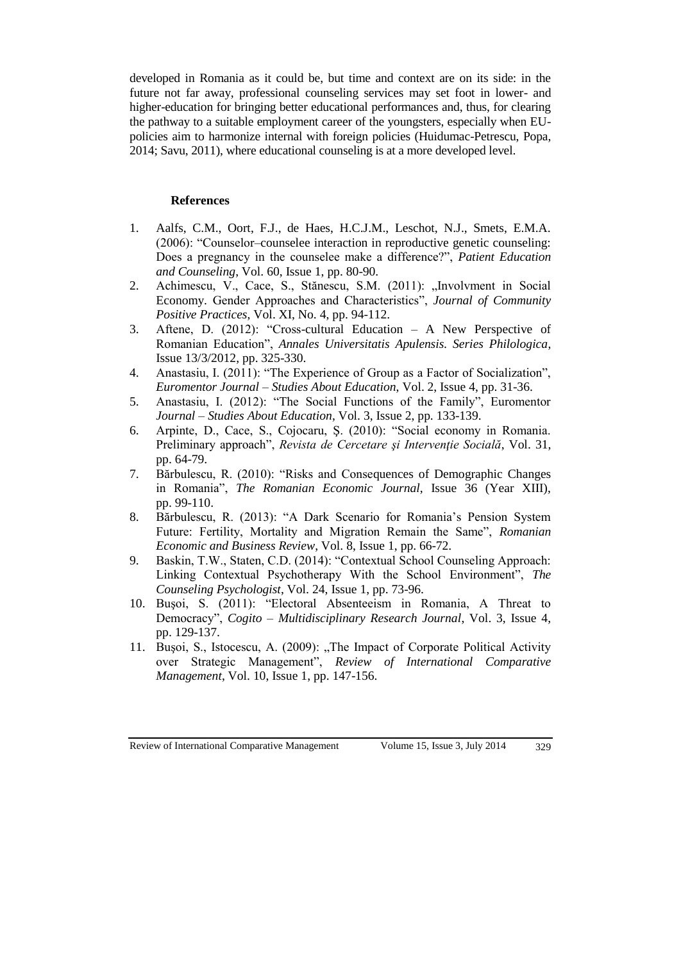developed in Romania as it could be, but time and context are on its side: in the future not far away, professional counseling services may set foot in lower- and higher-education for bringing better educational performances and, thus, for clearing the pathway to a suitable employment career of the youngsters, especially when EUpolicies aim to harmonize internal with foreign policies (Huidumac-Petrescu, Popa, 2014; Savu, 2011), where educational counseling is at a more developed level.

### **References**

- 1. Aalfs, C.M., Oort, F.J., de Haes, H.C.J.M., Leschot, N.J., Smets, E.M.A. (2006): "Counselor–counselee interaction in reproductive genetic counseling: Does a pregnancy in the counselee make a difference?", *Patient Education and Counseling*, Vol. 60, Issue 1, pp. 80-90.
- 2. Achimescu, V., Cace, S., Stănescu, S.M. (2011): "Involvment in Social Economy. Gender Approaches and Characteristics", *Journal of Community Positive Practices*, Vol. XI, No. 4, pp. 94-112.
- 3. Aftene, D. (2012): "Cross-cultural Education A New Perspective of Romanian Education", *Annales Universitatis Apulensis. Series Philologica*, Issue 13/3/2012, pp. 325-330.
- 4. Anastasiu, I. (2011): "The Experience of Group as a Factor of Socialization", *Euromentor Journal – Studies About Education*, Vol. 2, Issue 4, pp. 31-36.
- 5. Anastasiu, I. (2012): "The Social Functions of the Family", Euromentor *Journal – Studies About Education*, Vol. 3, Issue 2, pp. 133-139.
- 6. Arpinte, D., Cace, S., Cojocaru, Ş. (2010): "Social economy in Romania. Preliminary approach", *Revista de Cercetare şi Intervenţie Socială*, Vol. 31, pp. 64-79.
- 7. Bărbulescu, R. (2010): "Risks and Consequences of Demographic Changes in Romania", *The Romanian Economic Journal*, Issue 36 (Year XIII), pp. 99-110.
- 8. Bărbulescu, R. (2013): "A Dark Scenario for Romania's Pension System Future: Fertility, Mortality and Migration Remain the Same", *Romanian Economic and Business Review*, Vol. 8, Issue 1, pp. 66-72.
- 9. Baskin, T.W., Staten, C.D. (2014): "Contextual School Counseling Approach: Linking Contextual Psychotherapy With the School Environment", *The Counseling Psychologist*, Vol. 24, Issue 1, pp. 73-96.
- 10. Buşoi, S. (2011): "Electoral Absenteeism in Romania, A Threat to Democracy", *Cogito – Multidisciplinary Research Journal*, Vol. 3, Issue 4, pp. 129-137.
- 11. Bușoi, S., Istocescu, A. (2009): "The Impact of Corporate Political Activity over Strategic Management", *Review of International Comparative Management*, Vol. 10, Issue 1, pp. 147-156.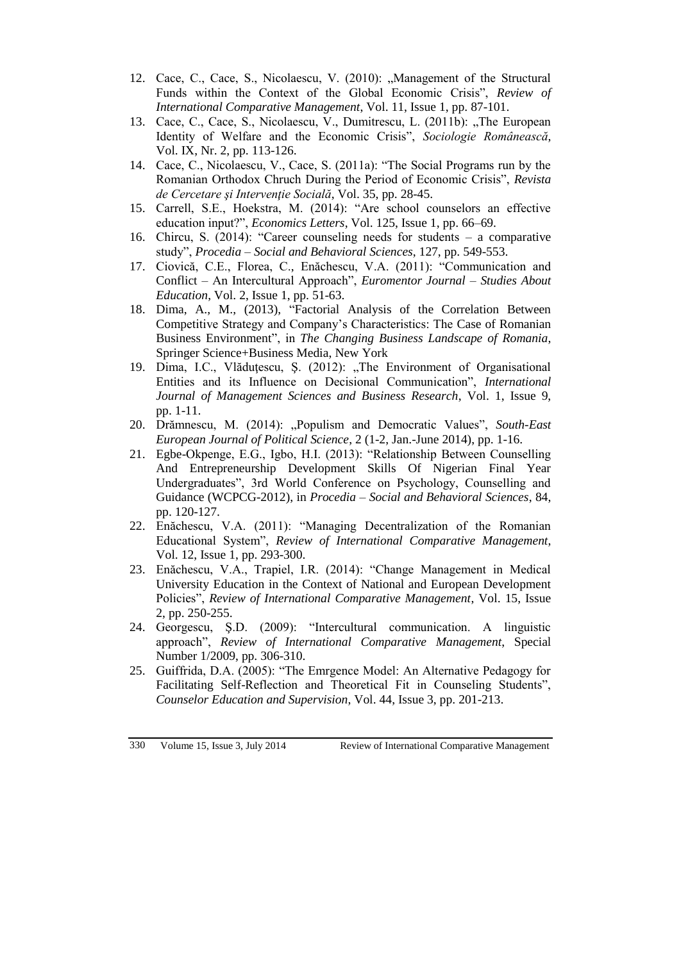- 12. Cace, C., Cace, S., Nicolaescu, V. (2010): "Management of the Structural Funds within the Context of the Global Economic Crisis", *Review of International Comparative Management*, Vol. 11, Issue 1, pp. 87-101.
- 13. Cace, C., Cace, S., Nicolaescu, V., Dumitrescu, L. (2011b): "The European Identity of Welfare and the Economic Crisis", *Sociologie Românească*, Vol. IX, Nr. 2, pp. 113-126.
- 14. Cace, C., Nicolaescu, V., Cace, S. (2011a): "The Social Programs run by the Romanian Orthodox Chruch During the Period of Economic Crisis", *Revista de Cercetare şi Intervenţie Socială*, Vol. 35, pp. 28-45.
- 15. Carrell, S.E., Hoekstra, M. (2014): "Are school counselors an effective education input?", *Economics Letters*, Vol. 125, Issue 1, pp. 66–69.
- 16. Chircu, S. (2014): "Career counseling needs for students a comparative study", *Procedia – Social and Behavioral Sciences*, 127, pp. 549-553.
- 17. Ciovică, C.E., Florea, C., Enăchescu, V.A. (2011): "Communication and Conflict – An Intercultural Approach", *Euromentor Journal – Studies About Education*, Vol. 2, Issue 1, pp. 51-63.
- 18. Dima, A., M., (2013), "Factorial Analysis of the Correlation Between Competitive Strategy and Company's Characteristics: The Case of Romanian Business Environment", in *The Changing Business Landscape of Romania*, Springer Science+Business Media, New York
- 19. Dima, I.C., Vlăduțescu, Ș. (2012): "The Environment of Organisational Entities and its Influence on Decisional Communication", *International Journal of Management Sciences and Business Research*, Vol. 1, Issue 9, pp. 1-11.
- 20. Drămnescu, M. (2014): "Populism and Democratic Values", *South-East European Journal of Political Science*, 2 (1-2, Jan.-June 2014), pp. 1-16.
- 21. Egbe-Okpenge, E.G., Igbo, H.I. (2013): "Relationship Between Counselling And Entrepreneurship Development Skills Of Nigerian Final Year Undergraduates", 3rd World Conference on Psychology, Counselling and Guidance (WCPCG-2012), in *Procedia – Social and Behavioral Sciences*, 84, pp. 120-127.
- 22. Enăchescu, V.A. (2011): "Managing Decentralization of the Romanian Educational System", *Review of International Comparative Management*, Vol. 12, Issue 1, pp. 293-300.
- 23. Enăchescu, V.A., Trapiel, I.R. (2014): "Change Management in Medical University Education in the Context of National and European Development Policies", *Review of International Comparative Management*, Vol. 15, Issue 2, pp. 250-255.
- 24. Georgescu, Ş.D. (2009): "Intercultural communication. A linguistic approach", *Review of International Comparative Management*, Special Number 1/2009, pp. 306-310.
- 25. Guiffrida, D.A. (2005): "The Emrgence Model: An Alternative Pedagogy for Facilitating Self-Reflection and Theoretical Fit in Counseling Students", *Counselor Education and Supervision*, Vol. 44, Issue 3, pp. 201-213.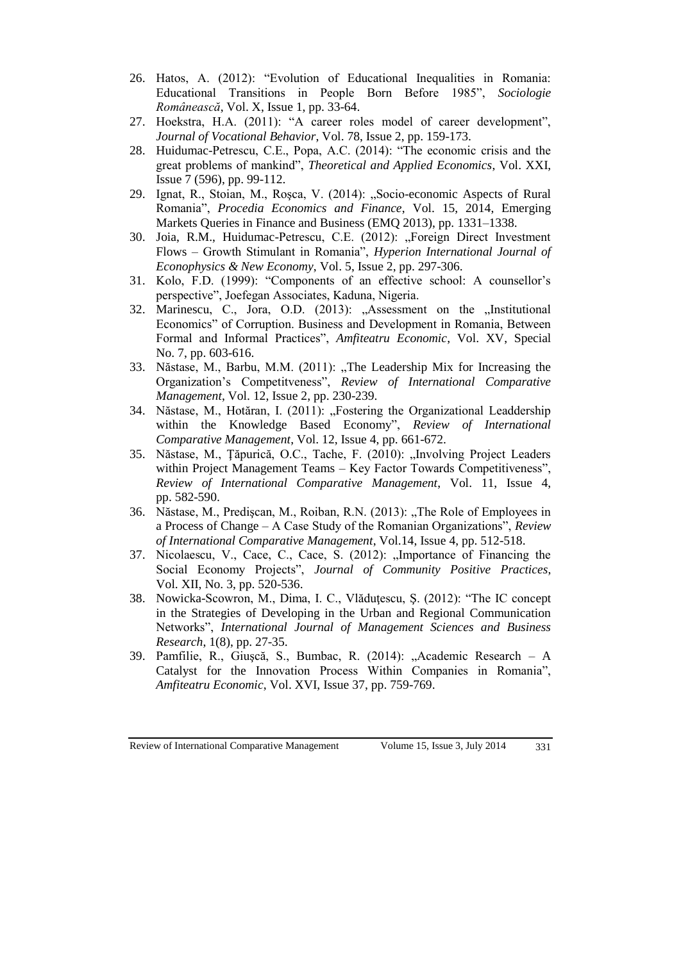- 26. Hatos, A. (2012): "Evolution of Educational Inequalities in Romania: Educational Transitions in People Born Before 1985", *Sociologie Românească*, Vol. X, Issue 1, pp. 33-64.
- 27. Hoekstra, H.A. (2011): "A career roles model of career development", *Journal of Vocational Behavior*, Vol. 78, Issue 2, pp. 159-173.
- 28. Huidumac-Petrescu, C.E., Popa, A.C. (2014): "The economic crisis and the great problems of mankind", *Theoretical and Applied Economics*, Vol. XXI, Issue 7 (596), pp. 99-112.
- 29. Ignat, R., Stoian, M., Roșca, V. (2014): "Socio-economic Aspects of Rural Romania", *Procedia Economics and Finance*, Vol. 15, 2014, Emerging Markets Queries in Finance and Business (EMQ 2013), pp. 1331–1338.
- 30. Joia, R.M., Huidumac-Petrescu, C.E. (2012): "Foreign Direct Investment Flows – Growth Stimulant in Romania", *Hyperion International Journal of Econophysics & New Economy*, Vol. 5, Issue 2, pp. 297-306.
- 31. Kolo, F.D. (1999): "Components of an effective school: A counsellor's perspective", Joefegan Associates, Kaduna, Nigeria.
- 32. Marinescu, C., Jora, O.D. (2013): "Assessment on the "Institutional Economics" of Corruption. Business and Development in Romania, Between Formal and Informal Practices", *Amfiteatru Economic*, Vol. XV, Special No. 7, pp. 603-616.
- 33. Năstase, M., Barbu, M.M. (2011): "The Leadership Mix for Increasing the Organization's Competitveness", *Review of International Comparative Management*, Vol. 12, Issue 2, pp. 230-239.
- 34. Năstase, M., Hotăran, I. (2011): "Fostering the Organizational Leaddership within the Knowledge Based Economy", *Review of International Comparative Management*, Vol. 12, Issue 4, pp. 661-672.
- 35. Năstase, M., Țăpurică, O.C., Tache, F. (2010): "Involving Project Leaders within Project Management Teams – Key Factor Towards Competitiveness", *Review of International Comparative Management*, Vol. 11, Issue 4, pp. 582-590.
- 36. Năstase, M., Prediscan, M., Roiban, R.N. (2013): "The Role of Employees in a Process of Change – A Case Study of the Romanian Organizations", *Review of International Comparative Management*, Vol.14, Issue 4, pp. 512-518.
- 37. Nicolaescu, V., Cace, C., Cace, S. (2012): "Importance of Financing the Social Economy Projects", *Journal of Community Positive Practices*, Vol. XII, No. 3, pp. 520-536.
- 38. Nowicka-Scowron, M., Dima, I. C., Vlăduţescu, Ş. (2012): "The IC concept in the Strategies of Developing in the Urban and Regional Communication Networks", *International Journal of Management Sciences and Business Research*, 1(8), pp. 27-35.
- 39. Pamfilie, R., Giuşcă, S., Bumbac, R. (2014): "Academic Research A Catalyst for the Innovation Process Within Companies in Romania", *Amfiteatru Economic*, Vol. XVI, Issue 37, pp. 759-769.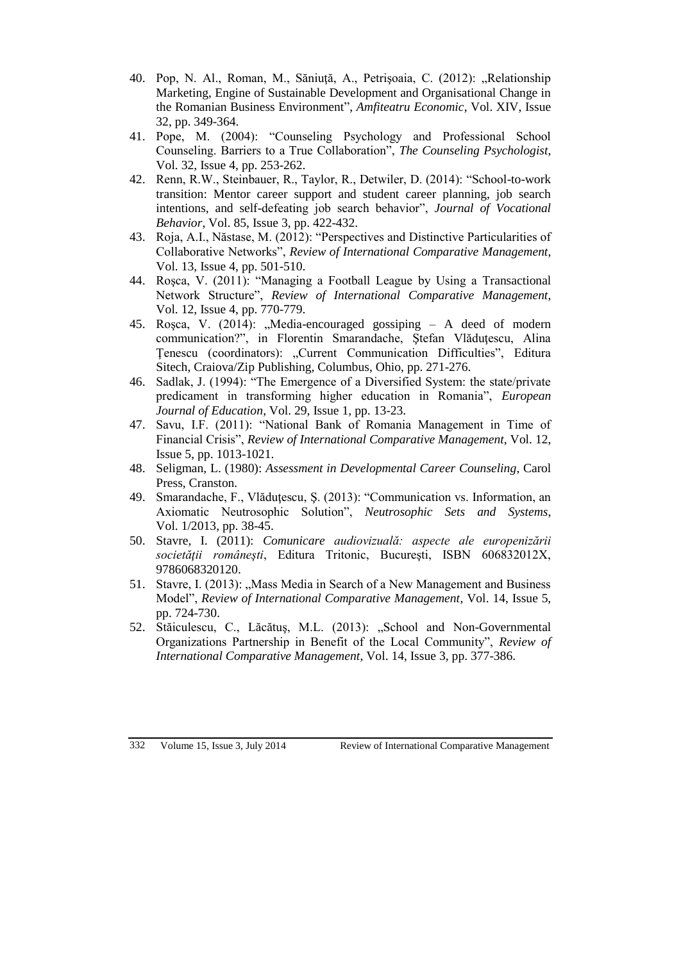- 40. Pop, N. Al., Roman, M., Săniuță, A., Petrișoaia, C. (2012): "Relationship Marketing, Engine of Sustainable Development and Organisational Change in the Romanian Business Environment", *Amfiteatru Economic*, Vol. XIV, Issue 32, pp. 349-364.
- 41. Pope, M. (2004): "Counseling Psychology and Professional School Counseling. Barriers to a True Collaboration", *The Counseling Psychologist*, Vol. 32, Issue 4, pp. 253-262.
- 42. Renn, R.W., Steinbauer, R., Taylor, R., Detwiler, D. (2014): "School-to-work transition: Mentor career support and student career planning, job search intentions, and self-defeating job search behavior", *Journal of Vocational Behavior*, Vol. 85, Issue 3, pp. 422-432.
- 43. Roja, A.I., Năstase, M. (2012): "Perspectives and Distinctive Particularities of Collaborative Networks", *Review of International Comparative Management*, Vol. 13, Issue 4, pp. 501-510.
- 44. Roşca, V. (2011): "Managing a Football League by Using a Transactional Network Structure", *Review of International Comparative Management*, Vol. 12, Issue 4, pp. 770-779.
- 45. Roșca, V. (2014): "Media-encouraged gossiping A deed of modern communication?", in Florentin Smarandache, Ştefan Vlăduţescu, Alina Ţenescu (coordinators): "Current Communication Difficulties", Editura Sitech, Craiova/Zip Publishing, Columbus, Ohio, pp. 271-276.
- 46. Sadlak, J. (1994): "The Emergence of a Diversified System: the state/private predicament in transforming higher education in Romania", *European Journal of Education*, Vol. 29, Issue 1, pp. 13-23.
- 47. Savu, I.F. (2011): "National Bank of Romania Management in Time of Financial Crisis", *Review of International Comparative Management*, Vol. 12, Issue 5, pp. 1013-1021.
- 48. Seligman, L. (1980): *Assessment in Developmental Career Counseling*, Carol Press, Cranston.
- 49. Smarandache, F., Vlăduţescu, Ş. (2013): "Communication vs. Information, an Axiomatic Neutrosophic Solution", *Neutrosophic Sets and Systems*, Vol. 1/2013, pp. 38-45.
- 50. Stavre, I. (2011): *Comunicare audiovizuală: aspecte ale europenizării societăţii româneşti*, Editura Tritonic, Bucureşti, ISBN 606832012X, 9786068320120.
- 51. Stavre, I. (2013): "Mass Media in Search of a New Management and Business Model", *Review of International Comparative Management*, Vol. 14, Issue 5, pp. 724-730.
- 52. Stăiculescu, C., Lăcătuș, M.L. (2013): "School and Non-Governmental Organizations Partnership in Benefit of the Local Community", *Review of International Comparative Management*, Vol. 14, Issue 3, pp. 377-386.